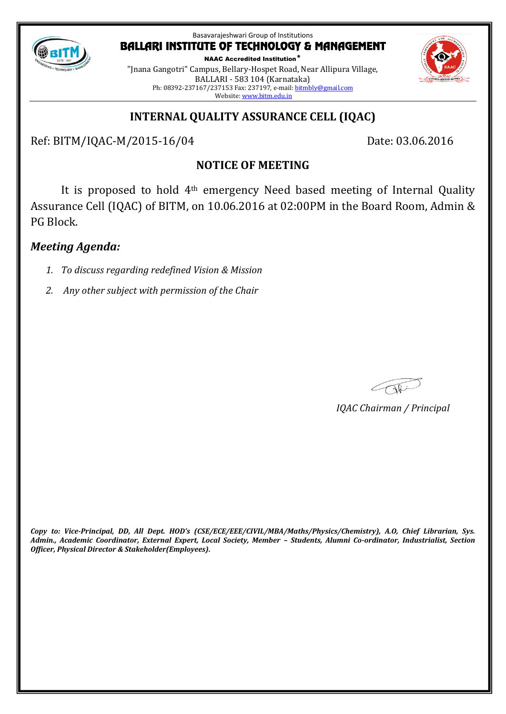

NAAC Accredited Institution\* "Jnana Gangotri" Campus, Bellary-Hospet Road, Near Allipura Village, BALLARI - 583 104 (Karnataka) Ph: 08392-237167/237153 Fax: 237197, e-mail[: bitmbly@gmail.com](mailto:bitmbly@gmail.com) Website[: www.bitm.edu.in](http://www.bec-bellary.com/)

# **INTERNAL QUALITY ASSURANCE CELL (IQAC)**

Ref: BITM/IQAC-M/2015-16/04 Date: 03.06.2016

# **NOTICE OF MEETING**

It is proposed to hold 4th emergency Need based meeting of Internal Quality Assurance Cell (IQAC) of BITM, on 10.06.2016 at 02:00PM in the Board Room, Admin & PG Block.

# *Meeting Agenda:*

- *1. To discuss regarding redefined Vision & Mission*
- *2. Any other subject with permission of the Chair*

*IQAC Chairman / Principal*

*Copy to: Vice-Principal, DD, All Dept. HOD's (CSE/ECE/EEE/CIVIL/MBA/Maths/Physics/Chemistry), A.O, Chief Librarian, Sys. Admin., Academic Coordinator, External Expert, Local Society, Member – Students, Alumni Co-ordinator, Industrialist, Section Officer, Physical Director & Stakeholder(Employees).*

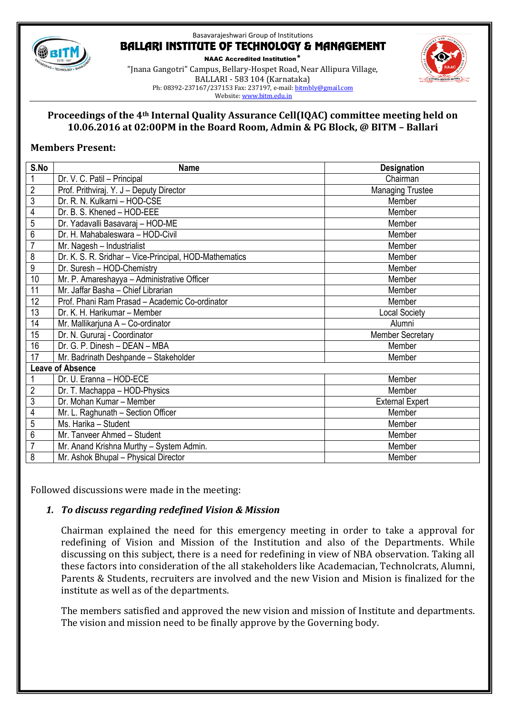

NAAC Accredited Institution\* "Jnana Gangotri" Campus, Bellary-Hospet Road, Near Allipura Village, BALLARI - 583 104 (Karnataka) Ph: 08392-237167/237153 Fax: 237197, e-mail[: bitmbly@gmail.com](mailto:bitmbly@gmail.com) Website[: www.bitm.edu.in](http://www.bec-bellary.com/)



## **Proceedings of the 4th Internal Quality Assurance Cell(IQAC) committee meeting held on 10.06.2016 at 02:00PM in the Board Room, Admin & PG Block, @ BITM – Ballari**

## **Members Present:**

| S.No                    | <b>Name</b>                                            | <b>Designation</b>      |
|-------------------------|--------------------------------------------------------|-------------------------|
| $\mathbf{1}$            | Dr. V. C. Patil - Principal                            | Chairman                |
| $\overline{c}$          | Prof. Prithviraj. Y. J - Deputy Director               | <b>Managing Trustee</b> |
| $\overline{3}$          | Dr. R. N. Kulkarni - HOD-CSE                           | Member                  |
| 4                       | Dr. B. S. Khened - HOD-EEE                             | Member                  |
| 5                       | Dr. Yadavalli Basavaraj - HOD-ME                       | Member                  |
| $\overline{6}$          | Dr. H. Mahabaleswara - HOD-Civil                       | Member                  |
| $\overline{7}$          | Mr. Nagesh - Industrialist                             | Member                  |
| $\overline{8}$          | Dr. K. S. R. Sridhar - Vice-Principal, HOD-Mathematics | Member                  |
| $\overline{9}$          | Dr. Suresh - HOD-Chemistry                             | Member                  |
| 10                      | Mr. P. Amareshayya - Administrative Officer            | Member                  |
| 11                      | Mr. Jaffar Basha - Chief Librarian                     | Member                  |
| 12                      | Prof. Phani Ram Prasad - Academic Co-ordinator         | Member                  |
| 13                      | Dr. K. H. Harikumar - Member                           | <b>Local Society</b>    |
| 14                      | Mr. Mallikarjuna A - Co-ordinator                      | Alumni                  |
| 15                      | Dr. N. Gururaj - Coordinator                           | <b>Member Secretary</b> |
| 16                      | Dr. G. P. Dinesh - DEAN - MBA                          | Member                  |
| 17                      | Mr. Badrinath Deshpande - Stakeholder                  | Member                  |
| <b>Leave of Absence</b> |                                                        |                         |
|                         | Dr. U. Eranna - HOD-ECE                                | Member                  |
| $\overline{2}$          | Dr. T. Machappa - HOD-Physics                          | Member                  |
| $\overline{3}$          | Dr. Mohan Kumar - Member                               | <b>External Expert</b>  |
| $\overline{4}$          | Mr. L. Raghunath - Section Officer                     | Member                  |
| 5                       | Ms. Harika - Student                                   | Member                  |
| $\overline{6}$          | Mr. Tanveer Ahmed - Student                            | Member                  |
| $\overline{7}$          | Mr. Anand Krishna Murthy - System Admin.               | Member                  |
| $\overline{8}$          | Mr. Ashok Bhupal - Physical Director                   | Member                  |

Followed discussions were made in the meeting:

# *1. To discuss regarding redefined Vision & Mission*

Chairman explained the need for this emergency meeting in order to take a approval for redefining of Vision and Mission of the Institution and also of the Departments. While discussing on this subject, there is a need for redefining in view of NBA observation. Taking all these factors into consideration of the all stakeholders like Academacian, Technolcrats, Alumni, Parents & Students, recruiters are involved and the new Vision and Mision is finalized for the institute as well as of the departments.

The members satisfied and approved the new vision and mission of Institute and departments. The vision and mission need to be finally approve by the Governing body.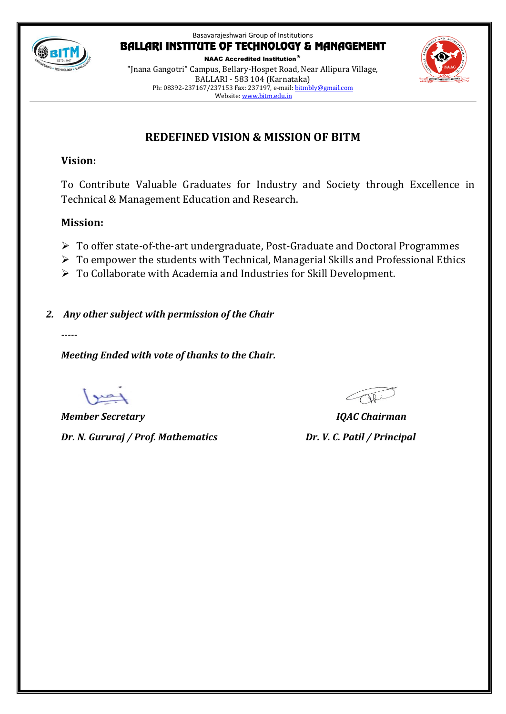

NAAC Accredited Institution\* "Jnana Gangotri" Campus, Bellary-Hospet Road, Near Allipura Village, BALLARI - 583 104 (Karnataka) Ph: 08392-237167/237153 Fax: 237197, e-mail[: bitmbly@gmail.com](mailto:bitmbly@gmail.com) Website[: www.bitm.edu.in](http://www.bec-bellary.com/)



# **REDEFINED VISION & MISSION OF BITM**

# **Vision:**

To Contribute Valuable Graduates for Industry and Society through Excellence in Technical & Management Education and Research.

# **Mission:**

- To offer state-of-the-art undergraduate, Post-Graduate and Doctoral Programmes
- $\triangleright$  To empower the students with Technical, Managerial Skills and Professional Ethics
- To Collaborate with Academia and Industries for Skill Development.

*2. Any other subject with permission of the Chair*

*-----*

*Meeting Ended with vote of thanks to the Chair.*

*Member Secretary IQAC Chairman Dr. N. Gururaj / Prof. Mathematics Dr. V. C. Patil / Principal*